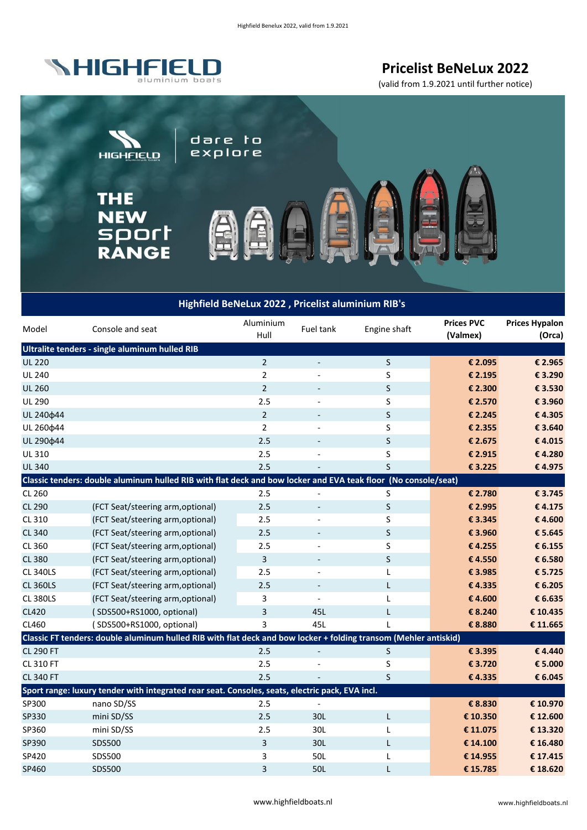

**Pricelist BeNeLux 2022** 

(valid from 1.9.2021 until further notice)



## **Highfield BeNeLux 2022 , Pricelist aluminium RIB's**

| Model                                          | Console and seat                                                                                                 | Aluminium<br>Hull | Fuel tank                | Engine shaft | <b>Prices PVC</b><br>(Valmex) | <b>Prices Hypalon</b><br>(Orca) |  |  |
|------------------------------------------------|------------------------------------------------------------------------------------------------------------------|-------------------|--------------------------|--------------|-------------------------------|---------------------------------|--|--|
| Ultralite tenders - single aluminum hulled RIB |                                                                                                                  |                   |                          |              |                               |                                 |  |  |
| <b>UL 220</b>                                  |                                                                                                                  | $\overline{2}$    |                          | S            | € 2.095                       | € 2.965                         |  |  |
| <b>UL 240</b>                                  |                                                                                                                  | $\overline{2}$    |                          | S            | € 2.195                       | € 3.290                         |  |  |
| <b>UL 260</b>                                  |                                                                                                                  | $\overline{2}$    | $\overline{\phantom{a}}$ | S            | € 2.300                       | € 3.530                         |  |  |
| <b>UL 290</b>                                  |                                                                                                                  | 2.5               |                          | S            | € 2.570                       | € 3.960                         |  |  |
| UL 240¢44                                      |                                                                                                                  | $\overline{2}$    | $\overline{\phantom{a}}$ | S            | € 2.245                       | €4.305                          |  |  |
| UL 260 \$44                                    |                                                                                                                  | $\overline{2}$    |                          | S            | € 2.355                       | € 3.640                         |  |  |
| UL 290¢44                                      |                                                                                                                  | 2.5               |                          | $\sf S$      | € 2.675                       | €4.015                          |  |  |
| UL 310                                         |                                                                                                                  | 2.5               |                          | S            | € 2.915                       | €4.280                          |  |  |
| <b>UL340</b>                                   |                                                                                                                  | 2.5               |                          | S            | € 3.225                       | €4.975                          |  |  |
|                                                | Classic tenders: double aluminum hulled RIB with flat deck and bow locker and EVA teak floor (No console/seat)   |                   |                          |              |                               |                                 |  |  |
| CL 260                                         |                                                                                                                  | 2.5               |                          | S            | € 2.780                       | €3.745                          |  |  |
| CL 290                                         | (FCT Seat/steering arm, optional)                                                                                | 2.5               | $\overline{\phantom{m}}$ | S            | € 2.995                       | €4.175                          |  |  |
| CL 310                                         | (FCT Seat/steering arm, optional)                                                                                | 2.5               |                          | S            | € 3.345                       | €4.600                          |  |  |
| CL 340                                         | (FCT Seat/steering arm, optional)                                                                                | 2.5               | $\overline{\phantom{a}}$ | S            | € 3.960                       | € 5.645                         |  |  |
| CL 360                                         | (FCT Seat/steering arm, optional)                                                                                | 2.5               |                          | $\sf S$      | €4.255                        | € 6.155                         |  |  |
| CL 380                                         | (FCT Seat/steering arm, optional)                                                                                | 3                 | $\overline{\phantom{a}}$ | $\sf S$      | €4.550                        | € 6.580                         |  |  |
| <b>CL 340LS</b>                                | (FCT Seat/steering arm, optional)                                                                                | 2.5               |                          | Г            | € 3.985                       | € 5.725                         |  |  |
| <b>CL 360LS</b>                                | (FCT Seat/steering arm, optional)                                                                                | 2.5               | $\overline{\phantom{a}}$ | L            | €4.335                        | € 6.205                         |  |  |
| <b>CL 380LS</b>                                | (FCT Seat/steering arm, optional)                                                                                | 3                 | $\overline{\phantom{a}}$ | Г            | €4.600                        | € 6.635                         |  |  |
| <b>CL420</b>                                   | (SDS500+RS1000, optional)                                                                                        | 3                 | 45L                      | L            | € 8.240                       | € 10.435                        |  |  |
| CL460                                          | (SDS500+RS1000, optional)                                                                                        | 3                 | 45L                      | L            | € 8.880                       | € 11.665                        |  |  |
|                                                | Classic FT tenders: double aluminum hulled RIB with flat deck and bow locker + folding transom (Mehler antiskid) |                   |                          |              |                               |                                 |  |  |
| <b>CL 290 FT</b>                               |                                                                                                                  | 2.5               |                          | S            | € 3.395                       | €4.440                          |  |  |
| <b>CL 310 FT</b>                               |                                                                                                                  | 2.5               |                          | S            | € 3.720                       | € 5.000                         |  |  |
| <b>CL 340 FT</b>                               |                                                                                                                  | 2.5               |                          | S            | €4.335                        | € 6.045                         |  |  |
|                                                | Sport range: luxury tender with integrated rear seat. Consoles, seats, electric pack, EVA incl.                  |                   |                          |              |                               |                                 |  |  |
| SP300                                          | nano SD/SS                                                                                                       | 2.5               |                          |              | € 8.830                       | € 10.970                        |  |  |
| SP330                                          | mini SD/SS                                                                                                       | 2.5               | 30L                      | L            | € 10.350                      | € 12.600                        |  |  |
| SP360                                          | mini SD/SS                                                                                                       | 2.5               | 30L                      | L            | € 11.075                      | € 13.320                        |  |  |
| SP390                                          | SDS500                                                                                                           | 3                 | 30L                      | L            | € 14.100                      | € 16.480                        |  |  |
| SP420                                          | SDS500                                                                                                           | 3                 | 50L                      | L            | € 14.955                      | € 17.415                        |  |  |
| SP460                                          | SDS500                                                                                                           | 3                 | 50L                      | L            | €15.785                       | € 18.620                        |  |  |